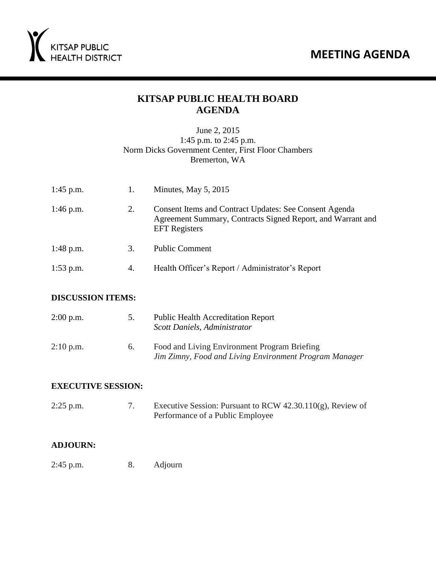### **MEETING AGENDA**



### **KITSAP PUBLIC HEALTH BOARD AGENDA**

#### June 2, 2015 1:45 p.m. to 2:45 p.m. Norm Dicks Government Center, First Floor Chambers Bremerton, WA

| $1:45$ p.m. |    | Minutes, May $5, 2015$                                                                                                                               |
|-------------|----|------------------------------------------------------------------------------------------------------------------------------------------------------|
| $1:46$ p.m. | 2. | <b>Consent Items and Contract Updates: See Consent Agenda</b><br>Agreement Summary, Contracts Signed Report, and Warrant and<br><b>EFT</b> Registers |
| $1:48$ p.m. | 3. | <b>Public Comment</b>                                                                                                                                |
| $1:53$ p.m. | 4. | Health Officer's Report / Administrator's Report                                                                                                     |

#### **DISCUSSION ITEMS:**

| $2:00$ p.m. | 5. | <b>Public Health Accreditation Report</b><br>Scott Daniels, Administrator                              |
|-------------|----|--------------------------------------------------------------------------------------------------------|
| $2:10$ p.m. | 6. | Food and Living Environment Program Briefing<br>Jim Zimny, Food and Living Environment Program Manager |

#### **EXECUTIVE SESSION:**

| $2:25$ p.m. | Executive Session: Pursuant to RCW $42.30.110(g)$ , Review of |
|-------------|---------------------------------------------------------------|
|             | Performance of a Public Employee                              |

#### **ADJOURN:**

2:45 p.m. 8. Adjourn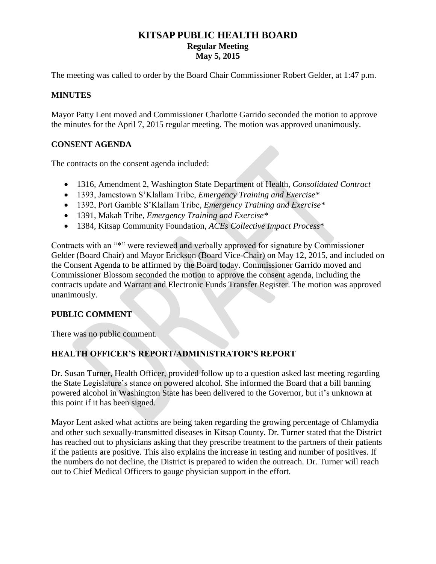#### **KITSAP PUBLIC HEALTH BOARD Regular Meeting May 5, 2015**

The meeting was called to order by the Board Chair Commissioner Robert Gelder, at 1:47 p.m.

#### **MINUTES**

Mayor Patty Lent moved and Commissioner Charlotte Garrido seconded the motion to approve the minutes for the April 7, 2015 regular meeting. The motion was approved unanimously.

#### **CONSENT AGENDA**

The contracts on the consent agenda included:

- 1316, Amendment 2, Washington State Department of Health, *Consolidated Contract*
- 1393, Jamestown S'Klallam Tribe, *Emergency Training and Exercise\**
- 1392, Port Gamble S'Klallam Tribe, *Emergency Training and Exercise\**
- 1391, Makah Tribe, *Emergency Training and Exercise\**
- 1384, Kitsap Community Foundation, *ACEs Collective Impact Process*\*

Contracts with an "\*" were reviewed and verbally approved for signature by Commissioner Gelder (Board Chair) and Mayor Erickson (Board Vice-Chair) on May 12, 2015, and included on the Consent Agenda to be affirmed by the Board today. Commissioner Garrido moved and Commissioner Blossom seconded the motion to approve the consent agenda, including the contracts update and Warrant and Electronic Funds Transfer Register. The motion was approved unanimously.

#### **PUBLIC COMMENT**

There was no public comment.

#### **HEALTH OFFICER'S REPORT/ADMINISTRATOR'S REPORT**

Dr. Susan Turner, Health Officer, provided follow up to a question asked last meeting regarding the State Legislature's stance on powered alcohol. She informed the Board that a bill banning powered alcohol in Washington State has been delivered to the Governor, but it's unknown at this point if it has been signed.

Mayor Lent asked what actions are being taken regarding the growing percentage of Chlamydia and other such sexually-transmitted diseases in Kitsap County. Dr. Turner stated that the District has reached out to physicians asking that they prescribe treatment to the partners of their patients if the patients are positive. This also explains the increase in testing and number of positives. If the numbers do not decline, the District is prepared to widen the outreach. Dr. Turner will reach out to Chief Medical Officers to gauge physician support in the effort.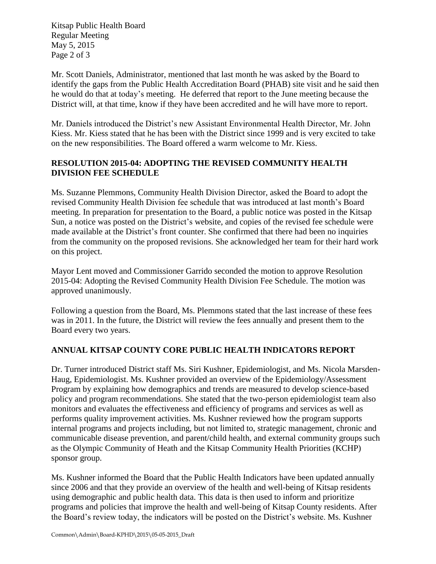Kitsap Public Health Board Regular Meeting May 5, 2015 Page 2 of 3

Mr. Scott Daniels, Administrator, mentioned that last month he was asked by the Board to identify the gaps from the Public Health Accreditation Board (PHAB) site visit and he said then he would do that at today's meeting. He deferred that report to the June meeting because the District will, at that time, know if they have been accredited and he will have more to report.

Mr. Daniels introduced the District's new Assistant Environmental Health Director, Mr. John Kiess. Mr. Kiess stated that he has been with the District since 1999 and is very excited to take on the new responsibilities. The Board offered a warm welcome to Mr. Kiess.

#### **RESOLUTION 2015-04: ADOPTING THE REVISED COMMUNITY HEALTH DIVISION FEE SCHEDULE**

Ms. Suzanne Plemmons, Community Health Division Director, asked the Board to adopt the revised Community Health Division fee schedule that was introduced at last month's Board meeting. In preparation for presentation to the Board, a public notice was posted in the Kitsap Sun, a notice was posted on the District's website, and copies of the revised fee schedule were made available at the District's front counter. She confirmed that there had been no inquiries from the community on the proposed revisions. She acknowledged her team for their hard work on this project.

Mayor Lent moved and Commissioner Garrido seconded the motion to approve Resolution 2015-04: Adopting the Revised Community Health Division Fee Schedule. The motion was approved unanimously.

Following a question from the Board, Ms. Plemmons stated that the last increase of these fees was in 2011. In the future, the District will review the fees annually and present them to the Board every two years.

#### **ANNUAL KITSAP COUNTY CORE PUBLIC HEALTH INDICATORS REPORT**

Dr. Turner introduced District staff Ms. Siri Kushner, Epidemiologist, and Ms. Nicola Marsden-Haug, Epidemiologist. Ms. Kushner provided an overview of the Epidemiology/Assessment Program by explaining how demographics and trends are measured to develop science-based policy and program recommendations. She stated that the two-person epidemiologist team also monitors and evaluates the effectiveness and efficiency of programs and services as well as performs quality improvement activities. Ms. Kushner reviewed how the program supports internal programs and projects including, but not limited to, strategic management, chronic and communicable disease prevention, and parent/child health, and external community groups such as the Olympic Community of Heath and the Kitsap Community Health Priorities (KCHP) sponsor group.

Ms. Kushner informed the Board that the Public Health Indicators have been updated annually since 2006 and that they provide an overview of the health and well-being of Kitsap residents using demographic and public health data. This data is then used to inform and prioritize programs and policies that improve the health and well-being of Kitsap County residents. After the Board's review today, the indicators will be posted on the District's website. Ms. Kushner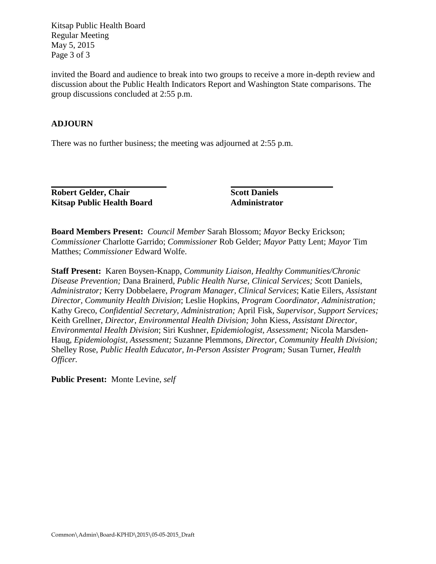Kitsap Public Health Board Regular Meeting May 5, 2015 Page 3 of 3

invited the Board and audience to break into two groups to receive a more in-depth review and discussion about the Public Health Indicators Report and Washington State comparisons. The group discussions concluded at 2:55 p.m.

#### **ADJOURN**

There was no further business; the meeting was adjourned at 2:55 p.m.

**Robert Gelder, Chair Scott Daniels Kitsap Public Health Board Administrator**

**Board Members Present:** *Council Member* Sarah Blossom; *Mayor* Becky Erickson; *Commissioner* Charlotte Garrido; *Commissioner* Rob Gelder; *Mayor* Patty Lent; *Mayor* Tim Matthes; *Commissioner* Edward Wolfe.

**Staff Present:** Karen Boysen-Knapp, *Community Liaison, Healthy Communities/Chronic Disease Prevention;* Dana Brainerd, *Public Health Nurse, Clinical Services; S*cott Daniels, *Administrator;* Kerry Dobbelaere, *Program Manager, Clinical Services*; Katie Eilers, *Assistant Director, Community Health Division*; Leslie Hopkins, *Program Coordinator, Administration;*  Kathy Greco, *Confidential Secretary, Administration;* April Fisk*, Supervisor, Support Services;*  Keith Grellner, *Director, Environmental Health Division;* John Kiess, *Assistant Director, Environmental Health Division*; Siri Kushner, *Epidemiologist, Assessment;* Nicola Marsden-Haug, *Epidemiologist, Assessment;* Suzanne Plemmons*, Director, Community Health Division;*  Shelley Rose, *Public Health Educator, In-Person Assister Program;* Susan Turner, *Health Officer.* 

**Public Present:** Monte Levine, *self*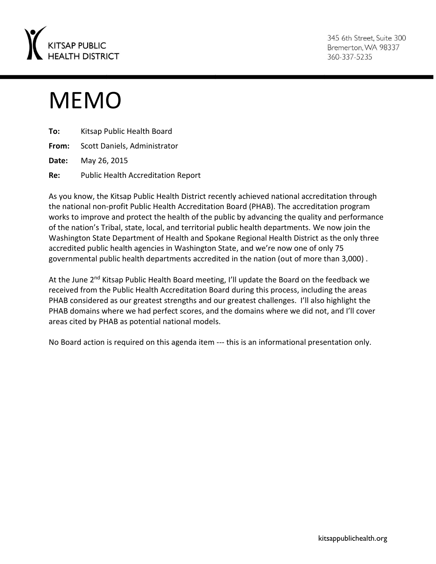

345 6th Street. Suite 300 Bremerton, WA 98337 360-337-5235

# MEMO

| To:   | Kitsap Public Health Board                |
|-------|-------------------------------------------|
|       | From: Scott Daniels, Administrator        |
| Date: | May 26, 2015                              |
| Re:   | <b>Public Health Accreditation Report</b> |

As you know, the Kitsap Public Health District recently achieved national accreditation through the national non-profit Public Health Accreditation Board (PHAB). The accreditation program works to improve and protect the health of the public by advancing the quality and performance of the nation's Tribal, state, local, and territorial public health departments. We now join the Washington State Department of Health and Spokane Regional Health District as the only three accredited public health agencies in Washington State, and we're now one of only 75 governmental public health departments accredited in the nation (out of more than 3,000) .

At the June 2<sup>nd</sup> Kitsap Public Health Board meeting, I'll update the Board on the feedback we received from the Public Health Accreditation Board during this process, including the areas PHAB considered as our greatest strengths and our greatest challenges. I'll also highlight the PHAB domains where we had perfect scores, and the domains where we did not, and I'll cover areas cited by PHAB as potential national models.

No Board action is required on this agenda item --- this is an informational presentation only.